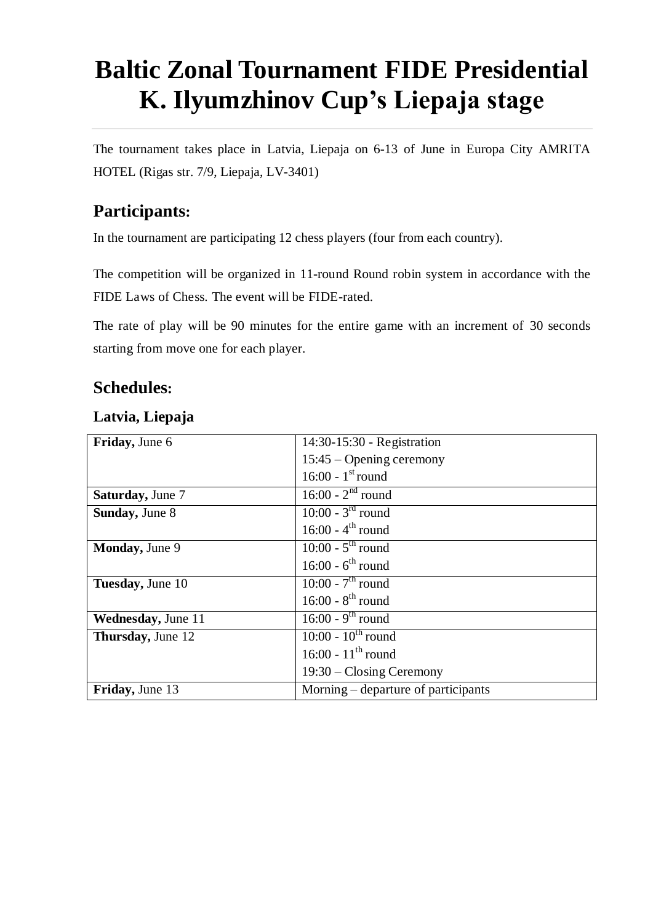# **Baltic Zonal Tournament FIDE Presidential K. Ilyumzhinov Cup's Liepaja stage**

The tournament takes place in Latvia, Liepaja on 6-13 of June in Europa City AMRITA HOTEL (Rigas str. 7/9, Liepaja, LV-3401)

# **Participants:**

In the tournament are participating 12 chess players (four from each country).

The competition will be organized in 11-round Round robin system in accordance with the FIDE Laws of Chess. The event will be FIDE-rated.

The rate of play will be 90 minutes for the entire game with an increment of 30 seconds starting from move one for each player.

## **Schedules:**

| Friday, June 6             | 14:30-15:30 - Registration          |
|----------------------------|-------------------------------------|
|                            | $15:45 -$ Opening ceremony          |
|                            | 16:00 - $1^{\text{st}}$ round       |
| <b>Saturday</b> , June 7   | $16:00 - 2nd$ round                 |
| <b>Sunday</b> , June 8     | $10:00 - 3rd$ round                 |
|                            | 16:00 - $4^{th}$ round              |
| <b>Monday</b> , June 9     | $10:00 - 5th$ round                 |
|                            | 16:00 - $6^{th}$ round              |
| Tuesday, June 10           | 10:00 - $7^{th}$ round              |
|                            | 16:00 - $8^{th}$ round              |
| <b>Wednesday</b> , June 11 | $16:00 - 9th$ round                 |
| <b>Thursday</b> , June 12  | $10:00 - 10^{th}$ round             |
|                            | 16:00 - $11^{th}$ round             |
|                            | $19:30$ – Closing Ceremony          |
| Friday, June 13            | Morning – departure of participants |

#### **Latvia, Liepaja**